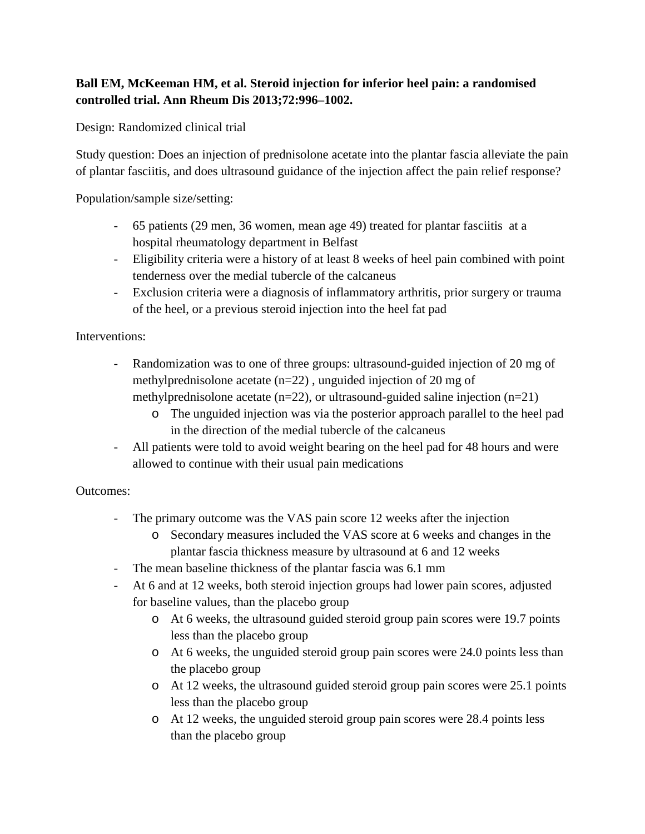## **Ball EM, McKeeman HM, et al. Steroid injection for inferior heel pain: a randomised controlled trial. Ann Rheum Dis 2013;72:996–1002.**

Design: Randomized clinical trial

Study question: Does an injection of prednisolone acetate into the plantar fascia alleviate the pain of plantar fasciitis, and does ultrasound guidance of the injection affect the pain relief response?

Population/sample size/setting:

- 65 patients (29 men, 36 women, mean age 49) treated for plantar fasciitis at a hospital rheumatology department in Belfast
- Eligibility criteria were a history of at least 8 weeks of heel pain combined with point tenderness over the medial tubercle of the calcaneus
- Exclusion criteria were a diagnosis of inflammatory arthritis, prior surgery or trauma of the heel, or a previous steroid injection into the heel fat pad

Interventions:

- Randomization was to one of three groups: ultrasound-guided injection of 20 mg of methylprednisolone acetate (n=22) , unguided injection of 20 mg of methylprednisolone acetate (n=22), or ultrasound-guided saline injection (n=21)
	- o The unguided injection was via the posterior approach parallel to the heel pad in the direction of the medial tubercle of the calcaneus
- All patients were told to avoid weight bearing on the heel pad for 48 hours and were allowed to continue with their usual pain medications

## Outcomes:

- The primary outcome was the VAS pain score 12 weeks after the injection
	- o Secondary measures included the VAS score at 6 weeks and changes in the plantar fascia thickness measure by ultrasound at 6 and 12 weeks
- The mean baseline thickness of the plantar fascia was 6.1 mm
- At 6 and at 12 weeks, both steroid injection groups had lower pain scores, adjusted for baseline values, than the placebo group
	- o At 6 weeks, the ultrasound guided steroid group pain scores were 19.7 points less than the placebo group
	- o At 6 weeks, the unguided steroid group pain scores were 24.0 points less than the placebo group
	- o At 12 weeks, the ultrasound guided steroid group pain scores were 25.1 points less than the placebo group
	- o At 12 weeks, the unguided steroid group pain scores were 28.4 points less than the placebo group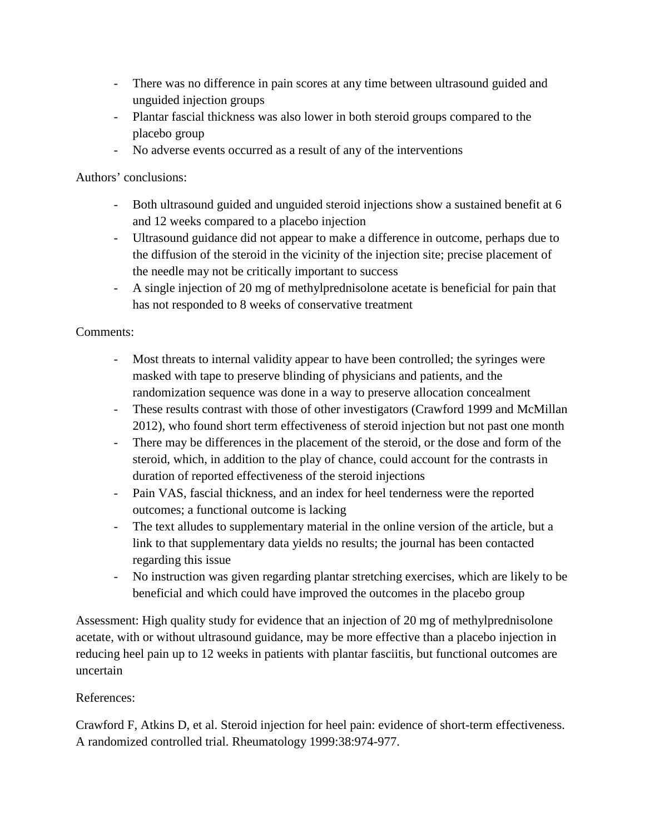- There was no difference in pain scores at any time between ultrasound guided and unguided injection groups
- Plantar fascial thickness was also lower in both steroid groups compared to the placebo group
- No adverse events occurred as a result of any of the interventions

Authors' conclusions:

- Both ultrasound guided and unguided steroid injections show a sustained benefit at 6 and 12 weeks compared to a placebo injection
- Ultrasound guidance did not appear to make a difference in outcome, perhaps due to the diffusion of the steroid in the vicinity of the injection site; precise placement of the needle may not be critically important to success
- A single injection of 20 mg of methylprednisolone acetate is beneficial for pain that has not responded to 8 weeks of conservative treatment

Comments:

- Most threats to internal validity appear to have been controlled; the syringes were masked with tape to preserve blinding of physicians and patients, and the randomization sequence was done in a way to preserve allocation concealment
- These results contrast with those of other investigators (Crawford 1999 and McMillan 2012), who found short term effectiveness of steroid injection but not past one month
- There may be differences in the placement of the steroid, or the dose and form of the steroid, which, in addition to the play of chance, could account for the contrasts in duration of reported effectiveness of the steroid injections
- Pain VAS, fascial thickness, and an index for heel tenderness were the reported outcomes; a functional outcome is lacking
- The text alludes to supplementary material in the online version of the article, but a link to that supplementary data yields no results; the journal has been contacted regarding this issue
- No instruction was given regarding plantar stretching exercises, which are likely to be beneficial and which could have improved the outcomes in the placebo group

Assessment: High quality study for evidence that an injection of 20 mg of methylprednisolone acetate, with or without ultrasound guidance, may be more effective than a placebo injection in reducing heel pain up to 12 weeks in patients with plantar fasciitis, but functional outcomes are uncertain

## References:

Crawford F, Atkins D, et al. Steroid injection for heel pain: evidence of short-term effectiveness. A randomized controlled trial. Rheumatology 1999:38:974-977.